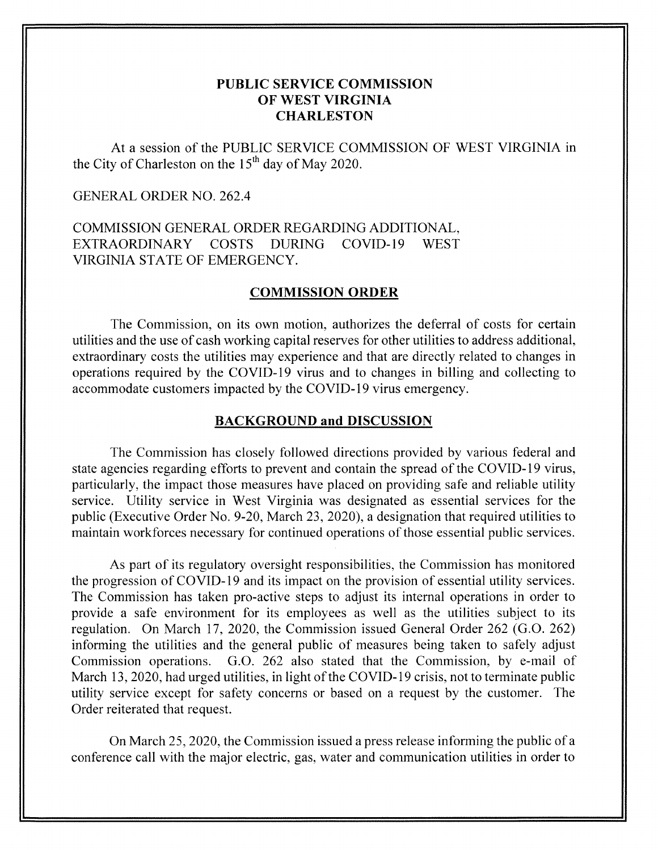# **PUBLIC SERVICE COMMISSION OF WEST VIRGINIA CHARLESTON**

At a session of the PUBLIC SERVICE COMMISSION OF WEST VIRGINIA in the City of Charleston on the  $15<sup>th</sup>$  day of May 2020.

## GENERAL ORDER NO. 262.4

COMMISSION GENERAL ORDER REGARDING ADDITIONAL, VIRGINIA STATE OF EMERGENCY. EXTRAORDINARY COSTS DURING COVID-19 WEST

#### **COMMISSION ORDER**

The Commission, on its own motion, authorizes the deferral of costs for certain utilities and the use of cash working capital reserves for other utilities to address additional, extraordinary costs the utilities may experience and that are directly related to changes in operations required by the COVID-19 virus and to changes in billing and collecting to accommodate customers impacted by the COVID- 19 virus emergency.

### **BACKGROUND and DISCUSSION**

The Commission has closely followed directions provided by various federal and state agencies regarding efforts to prevent and contain the spread of the COVID- 19 virus, particularly, the impact those measures have placed on providing safe and reliable utility service. Utility service in West Virginia was designated as essential services for the public (Executive Order No. 9-20, March 23, 2020), a designation that required utilities to maintain workforces necessary for continued operations of those essential public services.

As part of its regulatory oversight responsibilities, the Commission has monitored the progression of COVID- 19 and its impact on the provision of essential utility services. The Commission has taken pro-active steps to adjust its internal operations in order to provide a safe environment for its employees as well as the utilities subject to its regulation. On March 17, 2020, the Commission issued General Order 262 (G.O. 262) informing the utilities and the general public of measures being taken to safely adjust Commission operations. G.O. 262 also stated that the Commission, by e-mail of March 13, 2020, had urged utilities, in light of the COVID-19 crisis, not to terminate public utility service except for safety concerns or based on a request by the customer. The Order reiterated that request.

On March 25, 2020, the Commission issued a press release informing the public of a conference call with the major electric, gas, water and communication utilities in order to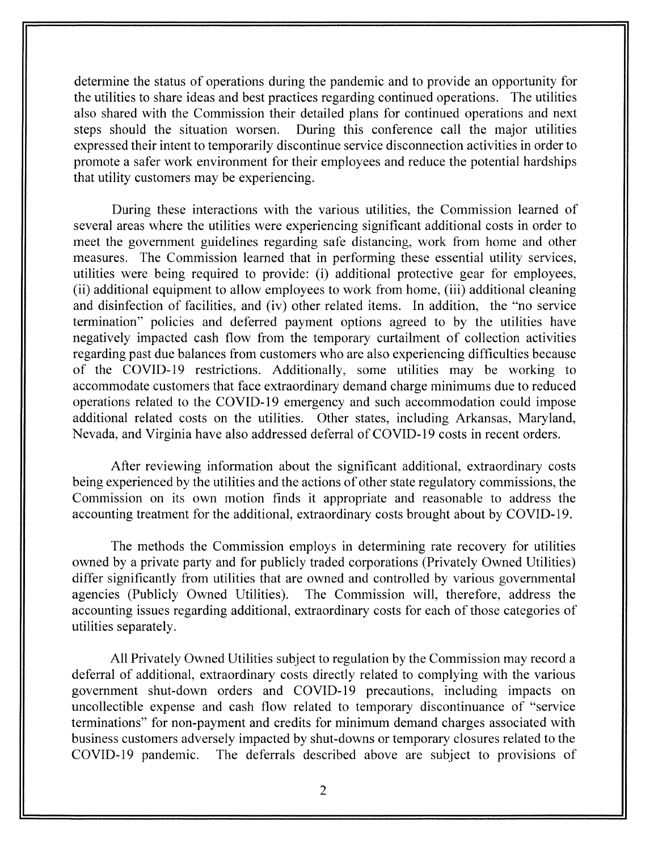determine the status of operations during the pandemic and to provide an opportunity for the utilities to share ideas and best practices regarding continued operations. The utilities also shared with the Commission their detailed plans for continued operations and next steps should the situation worsen. During this conference call the major utilities expressed their intent to temporarily discontinue service disconnection activities in order to promote a safer work environment for their employees and reduce the potential hardships that utility customers may be experiencing.

During these interactions with the various utilities, the Commission learned of several areas where the utilities were experiencing significant additional costs in order to meet the government guidelines regarding safe distancing, work from home and other measures. The Commission learned that in performing these essential utility services, utilities were being required to provide: (i) additional protective gear for employees, (ii) additional equipment to allow employees to work from home, (iii) additional cleaning and disinfection of facilities, and (iv) other related items. In addition, the "no service termination" policies and deferred payment options agreed to by the utilities have negatively impacted cash flow from the temporary curtailment of collection activities regarding past due balances from customers who are also experiencing difficulties because of the COVID-19 restrictions. Additionally, some utilities may be working to accommodate customers that face extraordinary demand charge minimums due to reduced operations related to the COVID- 19 emergency and such accommodation could impose additional related costs on the utilities. Other states, including Arkansas, Maryland, Nevada, and Virginia have also addressed deferral of COVID- 19 costs in recent orders.

After reviewing information about the significant additional, extraordinary costs being experienced by the utilities and the actions of other state regulatory commissions, the Commission on its own motion finds it appropriate and reasonable to address the accounting treatment for the additional, extraordinary costs brought about by COVID-19.

The methods the Commission employs in determining rate recovery for utilities owned by a private party and for publicly traded corporations (Privately Owned Utilities) differ significantly from utilities that are owned and controlled by various governmental agencies (Publicly Owned Utilities). The Commission will, therefore, address the accounting issues regarding additional, extraordinary costs for each of those categories of utilities separately.

All Privately Owned Utilities subject to regulation by the Commission may record a deferral of additional, extraordinary costs directly related to complying with the various government shut-down orders and COVID-19 precautions, including impacts on uncollectible expense and cash flow related to temporary discontinuance of "service terminations" for non-payment and credits for minimum demand charges associated with business customers adversely impacted by shut-downs or temporary closures related to the COVID-19 pandemic. The deferrals described above are subject to provisions of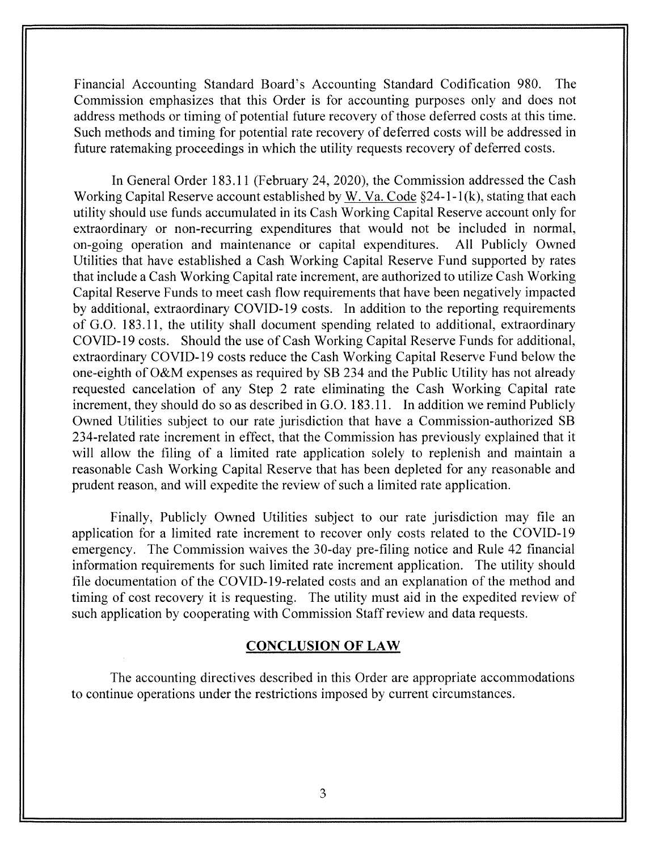Financial Accounting Standard Board's Accounting Standard Codification 980. The Commission emphasizes that this Order is for accounting purposes only and does not address methods or timing of potential future recovery of those deferred costs at this time. Such methods and timing for potential rate recovery of deferred costs will be addressed in future ratemaking proceedings in which the utility requests recovery of deferred costs.

In General Order 183.1 1 (February 24, 2020), the Commission addressed the Cash Working Capital Reserve account established by W. Va. Code  $\S$ 24-1-1(k), stating that each utility should use funds accumulated in its Cash Working Capital Reserve account only for extraordinary or non-recurring expenditures that would not be included in normal, on-going operation and maintenance or capital expenditures. All Publicly Owned Utilities that have established a Cash Working Capital Reserve Fund supported by rates that include a Cash Working Capital rate increment, are authorized to utilize Cash Working Capital Reserve Funds to meet cash flow requirements that have been negatively impacted by additional, extraordinary COVID-19 costs. In addition to the reporting requirements of G.O. 183.11, the utility shall document spending related to additional, extraordinary COVID- 19 costs. Should the use of Cash Working Capital Reserve Funds for additional, extraordinary COVID- 19 costs reduce the Cash Working Capital Reserve Fund below the one-eighth of O&M expenses as required by SB 234 and the Public Utility has not already requested cancelation of any Step 2 rate eliminating the Cash Working Capital rate increment, they should do so as described in G.O. 183.1 1. In addition we remind Publicly Owned Utilities subject to our rate jurisdiction that have a Commission-authorized SB 234-related rate increment in effect, that the Commission has previously explained that it will allow the filing of a limited rate application solely to replenish and maintain a reasonable Cash Working Capital Reserve that has been depleted for any reasonable and prudent reason, and will expedite the review of such a limited rate application.

Finally, Publicly Owned Utilities subject to our rate jurisdiction may file an application for a limited rate increment to recover only costs related to the COVID-19 emergency. The Commission waives the 30-day pre-filing notice and Rule 42 financial information requirements for such limited rate increment application. The utility should file documentation of the COVID-19-related costs and an explanation of the method and timing of cost recovery it is requesting. The utility must aid in the expedited review of such application by cooperating with Commission Staff review and data requests.

### **CONCLUSION OF LAW**

The accounting directives described in this Order are appropriate accommodations to continue operations under the restrictions imposed by current circumstances.